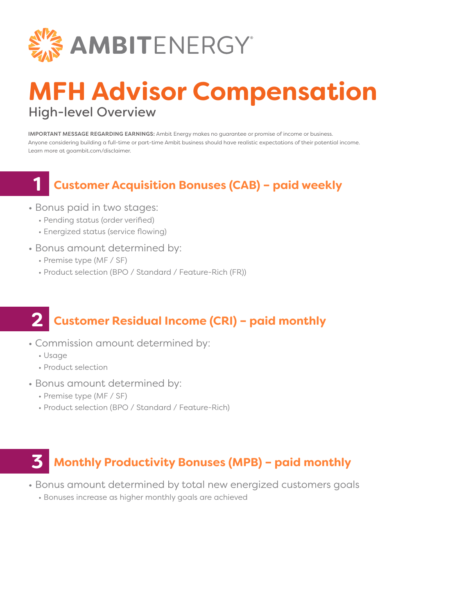

## **MFH Advisor Compensation** High-level Overview

IMPORTANT MESSAGE REGARDING EARNINGS: Ambit Energy makes no guarantee or promise of income or business. Anyone considering building a full-time or part-time Ambit business should have realistic expectations of their potential income. Learn more at goambit.com/disclaimer.

### **Customer Acquisition Bonuses (CAB) – paid weekly**

- Bonus paid in two stages:
	- Pending status (order verified)
	- Energized status (service flowing)
- Bonus amount determined by:
	- Premise type (MF / SF)
	- Product selection (BPO / Standard / Feature-Rich (FR))

#### **Customer Residual Income (CRI) – paid monthly 2**

- Commission amount determined by:
	- Usage

**1**

- Product selection
- Bonus amount determined by:
	- Premise type (MF / SF)
	- Product selection (BPO / Standard / Feature-Rich)

### **Monthly Productivity Bonuses (MPB) – paid monthly 3**

- Bonus amount determined by total new energized customers goals
	- Bonuses increase as higher monthly goals are achieved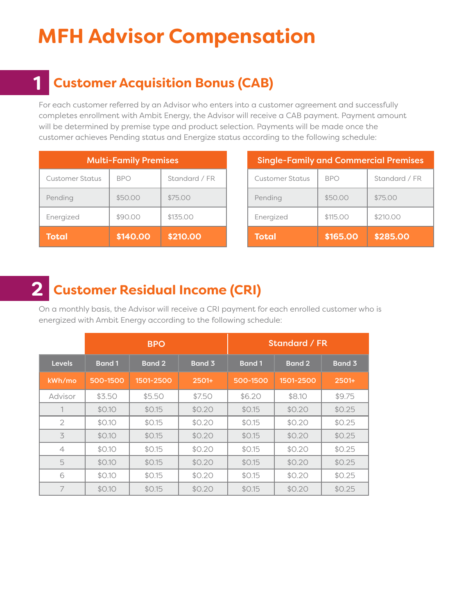# **MFH Advisor Compensation**

### **Customer Acquisition Bonus (CAB) 1**

For each customer referred by an Advisor who enters into a customer agreement and successfully completes enrollment with Ambit Energy, the Advisor will receive a CAB payment. Payment amount will be determined by premise type and product selection. Payments will be made once the customer achieves Pending status and Energize status according to the following schedule:

| <b>Multi-Family Premises</b> |            |               |  |       |
|------------------------------|------------|---------------|--|-------|
| <b>Customer Status</b>       | <b>BPO</b> | Standard / FR |  | Cı    |
| Pending                      | \$50.00    | \$75.00       |  | $P_6$ |
| Energized                    | \$90.00    | \$135.00      |  | Er    |
| <b>Total</b>                 | \$140.00   | \$210.00      |  |       |

| <b>Single-Family and Commercial Premises</b> |            |               |  |  |  |
|----------------------------------------------|------------|---------------|--|--|--|
| Customer Status                              | <b>BPO</b> | Standard / FR |  |  |  |
| Pending                                      | \$50.00    | \$75.00       |  |  |  |
| Energized                                    | \$115.00   | \$210.00      |  |  |  |
| <b>Total</b>                                 | \$165.00   | \$285.00      |  |  |  |

#### **Customer Residual Income (CRI) 2**

On a monthly basis, the Advisor will receive a CRI payment for each enrolled customer who is energized with Ambit Energy according to the following schedule:

|                | <b>BPO</b>    |               |         |              | Standard / FR |         |
|----------------|---------------|---------------|---------|--------------|---------------|---------|
| <b>Levels</b>  | <b>Band 1</b> | <b>Band 2</b> | Band 3  | <b>Band1</b> | <b>Band 2</b> | Band 3  |
| kWh/mo         | 500-1500      | 1501-2500     | $2501+$ | 500-1500     | 1501-2500     | $2501+$ |
| Advisor        | \$3.50        | \$5.50        | \$7.50  | \$6.20       | \$8.10        | \$9.75  |
|                | \$0.10        | \$0.15        | \$0.20  | \$0.15       | \$0.20        | \$0.25  |
| $\overline{2}$ | \$0.10        | \$0.15        | \$0.20  | \$0.15       | \$0.20        | \$0.25  |
| 3              | \$0.10        | \$0.15        | \$0.20  | \$0.15       | \$0.20        | \$0.25  |
| $\overline{4}$ | \$0.10        | \$0.15        | \$0.20  | \$0.15       | \$0.20        | \$0.25  |
| 5              | \$0.10        | \$0.15        | \$0.20  | \$0.15       | \$0.20        | \$0.25  |
| 6              | \$0.10        | \$0.15        | \$0.20  | \$0.15       | \$0.20        | \$0.25  |
| 7              | \$0.10        | \$0.15        | \$0.20  | \$0.15       | \$0.20        | \$0.25  |